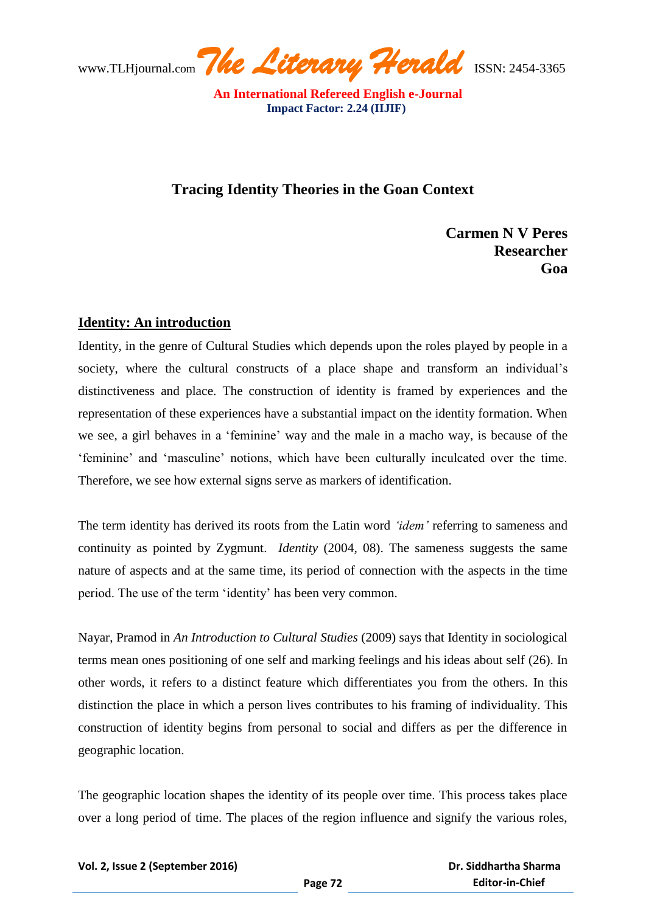www.TLHjournal.com*The Literary Herald*ISSN: 2454-3365

## **Tracing Identity Theories in the Goan Context**

 **Carmen N V Peres Researcher Goal** 

## **Identity: An introduction**

Identity, in the genre of Cultural Studies which depends upon the roles played by people in a society, where the cultural constructs of a place shape and transform an individual's distinctiveness and place. The construction of identity is framed by experiences and the representation of these experiences have a substantial impact on the identity formation. When we see, a girl behaves in a "feminine" way and the male in a macho way, is because of the "feminine" and "masculine" notions, which have been culturally inculcated over the time. Therefore, we see how external signs serve as markers of identification.

The term identity has derived its roots from the Latin word *'idem'* referring to sameness and continuity as pointed by Zygmunt. *Identity* (2004, 08). The sameness suggests the same nature of aspects and at the same time, its period of connection with the aspects in the time period. The use of the term "identity" has been very common.

Nayar, Pramod in *An Introduction to Cultural Studies* (2009) says that Identity in sociological terms mean ones positioning of one self and marking feelings and his ideas about self (26). In other words, it refers to a distinct feature which differentiates you from the others. In this distinction the place in which a person lives contributes to his framing of individuality. This construction of identity begins from personal to social and differs as per the difference in geographic location.

The geographic location shapes the identity of its people over time. This process takes place over a long period of time. The places of the region influence and signify the various roles,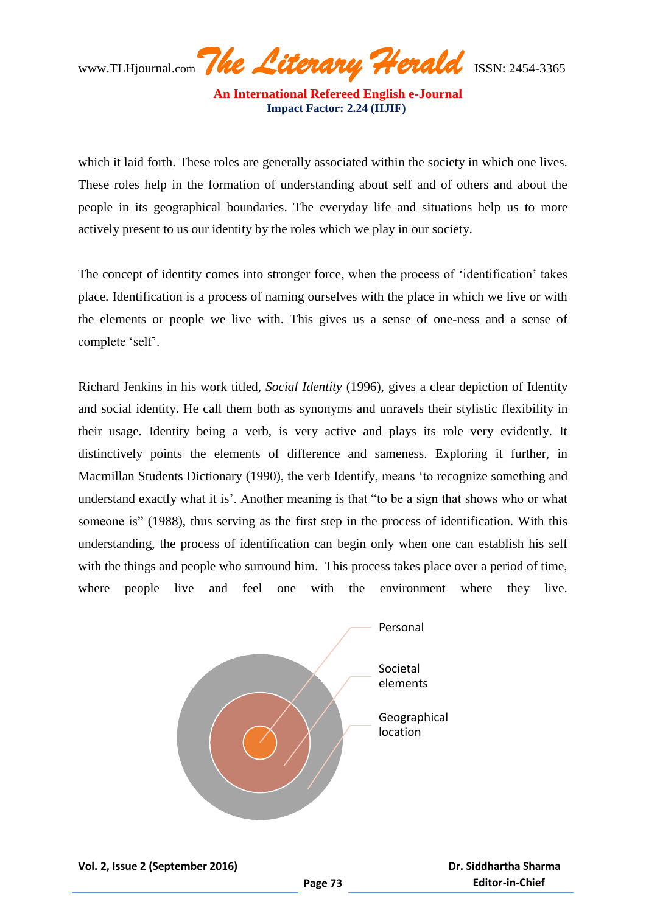**An International Refereed English e-Journal Impact Factor: 2.24 (IIJIF)** 

which it laid forth. These roles are generally associated within the society in which one lives. These roles help in the formation of understanding about self and of others and about the people in its geographical boundaries. The everyday life and situations help us to more actively present to us our identity by the roles which we play in our society.

The concept of identity comes into stronger force, when the process of "identification" takes place. Identification is a process of naming ourselves with the place in which we live or with the elements or people we live with. This gives us a sense of one-ness and a sense of complete "self".

Richard Jenkins in his work titled, *Social Identity* (1996), gives a clear depiction of Identity and social identity. He call them both as synonyms and unravels their stylistic flexibility in their usage. Identity being a verb, is very active and plays its role very evidently. It distinctively points the elements of difference and sameness. Exploring it further, in Macmillan Students Dictionary (1990), the verb Identify, means "to recognize something and understand exactly what it is'. Another meaning is that "to be a sign that shows who or what someone is" (1988), thus serving as the first step in the process of identification. With this understanding, the process of identification can begin only when one can establish his self with the things and people who surround him. This process takes place over a period of time, where people live and feel one with the environment where they live.

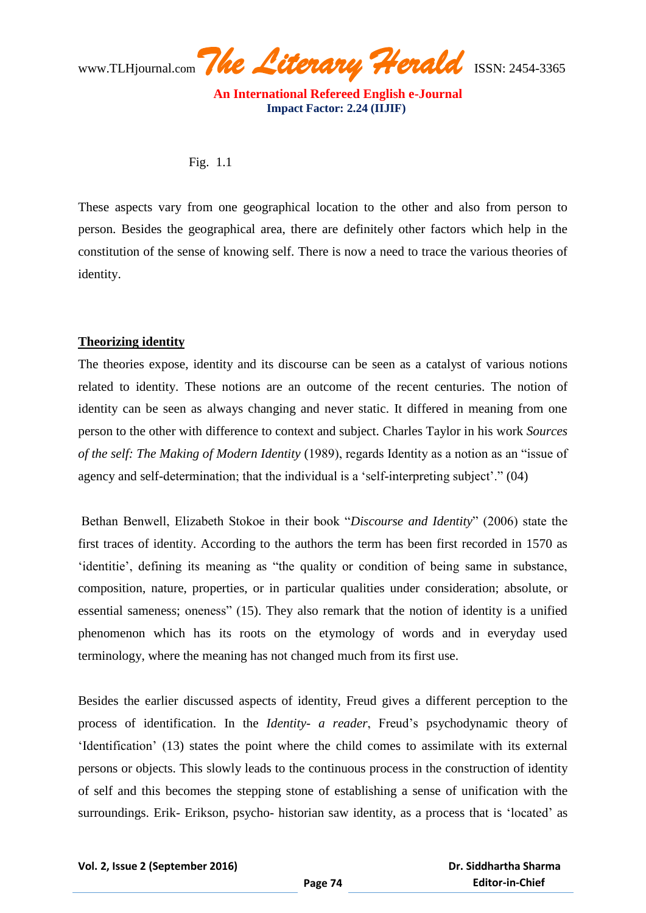www.TLHjournal.com*The Literary Herald*ISSN: 2454-3365

## Fig. 1.1

These aspects vary from one geographical location to the other and also from person to person. Besides the geographical area, there are definitely other factors which help in the constitution of the sense of knowing self. There is now a need to trace the various theories of identity.

## **Theorizing identity**

The theories expose, identity and its discourse can be seen as a catalyst of various notions related to identity. These notions are an outcome of the recent centuries. The notion of identity can be seen as always changing and never static. It differed in meaning from one person to the other with difference to context and subject. Charles Taylor in his work *Sources of the self: The Making of Modern Identity* (1989), regards Identity as a notion as an "issue of agency and self-determination; that the individual is a 'self-interpreting subject'." (04)

Bethan Benwell, Elizabeth Stokoe in their book "*Discourse and Identity*" (2006) state the first traces of identity. According to the authors the term has been first recorded in 1570 as "identitie", defining its meaning as "the quality or condition of being same in substance, composition, nature, properties, or in particular qualities under consideration; absolute, or essential sameness; oneness" (15). They also remark that the notion of identity is a unified phenomenon which has its roots on the etymology of words and in everyday used terminology, where the meaning has not changed much from its first use.

Besides the earlier discussed aspects of identity, Freud gives a different perception to the process of identification. In the *Identity- a reader*, Freud"s psychodynamic theory of "Identification" (13) states the point where the child comes to assimilate with its external persons or objects. This slowly leads to the continuous process in the construction of identity of self and this becomes the stepping stone of establishing a sense of unification with the surroundings. Erik- Erikson, psycho- historian saw identity, as a process that is 'located' as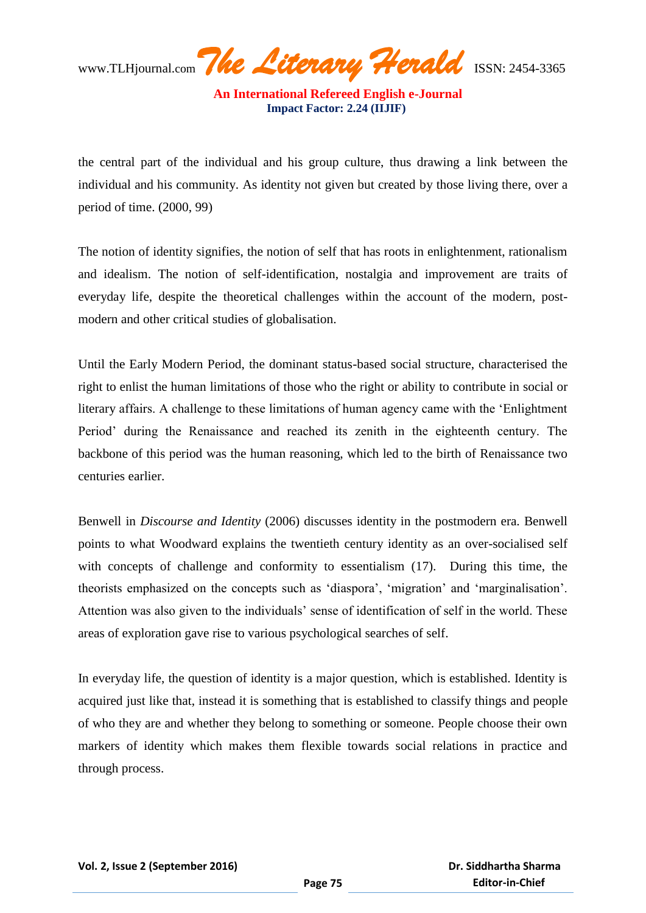**An International Refereed English e-Journal Impact Factor: 2.24 (IIJIF)** 

the central part of the individual and his group culture, thus drawing a link between the individual and his community. As identity not given but created by those living there, over a period of time. (2000, 99)

The notion of identity signifies, the notion of self that has roots in enlightenment, rationalism and idealism. The notion of self-identification, nostalgia and improvement are traits of everyday life, despite the theoretical challenges within the account of the modern, postmodern and other critical studies of globalisation.

Until the Early Modern Period, the dominant status-based social structure, characterised the right to enlist the human limitations of those who the right or ability to contribute in social or literary affairs. A challenge to these limitations of human agency came with the "Enlightment Period" during the Renaissance and reached its zenith in the eighteenth century. The backbone of this period was the human reasoning, which led to the birth of Renaissance two centuries earlier.

Benwell in *Discourse and Identity* (2006) discusses identity in the postmodern era. Benwell points to what Woodward explains the twentieth century identity as an over-socialised self with concepts of challenge and conformity to essentialism (17). During this time, the theorists emphasized on the concepts such as 'diaspora', 'migration' and 'marginalisation'. Attention was also given to the individuals" sense of identification of self in the world. These areas of exploration gave rise to various psychological searches of self.

In everyday life, the question of identity is a major question, which is established. Identity is acquired just like that, instead it is something that is established to classify things and people of who they are and whether they belong to something or someone. People choose their own markers of identity which makes them flexible towards social relations in practice and through process.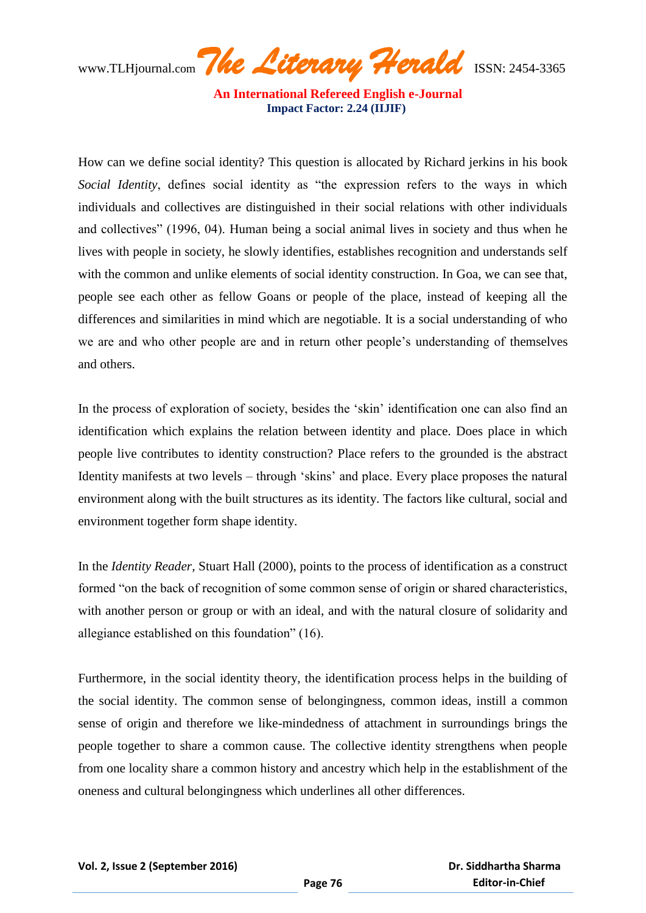**An International Refereed English e-Journal Impact Factor: 2.24 (IIJIF)** 

How can we define social identity? This question is allocated by Richard jerkins in his book *Social Identity*, defines social identity as "the expression refers to the ways in which individuals and collectives are distinguished in their social relations with other individuals and collectives" (1996, 04). Human being a social animal lives in society and thus when he lives with people in society, he slowly identifies, establishes recognition and understands self with the common and unlike elements of social identity construction. In Goa, we can see that, people see each other as fellow Goans or people of the place, instead of keeping all the differences and similarities in mind which are negotiable. It is a social understanding of who we are and who other people are and in return other people"s understanding of themselves and others.

In the process of exploration of society, besides the "skin" identification one can also find an identification which explains the relation between identity and place. Does place in which people live contributes to identity construction? Place refers to the grounded is the abstract Identity manifests at two levels – through "skins" and place. Every place proposes the natural environment along with the built structures as its identity. The factors like cultural, social and environment together form shape identity.

In the *Identity Reader,* Stuart Hall (2000), points to the process of identification as a construct formed "on the back of recognition of some common sense of origin or shared characteristics, with another person or group or with an ideal, and with the natural closure of solidarity and allegiance established on this foundation" (16).

Furthermore, in the social identity theory, the identification process helps in the building of the social identity. The common sense of belongingness, common ideas, instill a common sense of origin and therefore we like-mindedness of attachment in surroundings brings the people together to share a common cause. The collective identity strengthens when people from one locality share a common history and ancestry which help in the establishment of the oneness and cultural belongingness which underlines all other differences.

 **Dr. Siddhartha Sharma Editor-in-Chief**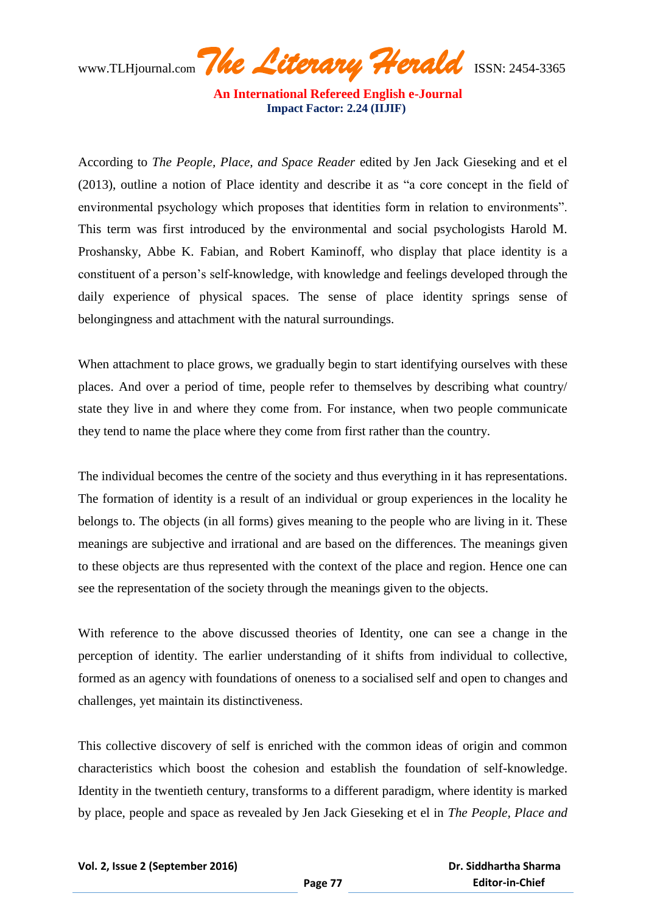**An International Refereed English e-Journal Impact Factor: 2.24 (IIJIF)** 

According to *The People, Place, and Space Reader* edited by Jen Jack Gieseking and et el (2013), outline a notion of Place identity and describe it as "a core concept in the field of environmental psychology which proposes that identities form in relation to environments". This term was first introduced by the environmental and social psychologists Harold M. Proshansky, Abbe K. Fabian, and Robert Kaminoff, who display that place identity is a constituent of a person"s self-knowledge, with knowledge and feelings developed through the daily experience of physical spaces. The sense of place identity springs sense of belongingness and attachment with the natural surroundings.

When attachment to place grows, we gradually begin to start identifying ourselves with these places. And over a period of time, people refer to themselves by describing what country/ state they live in and where they come from. For instance, when two people communicate they tend to name the place where they come from first rather than the country.

The individual becomes the centre of the society and thus everything in it has representations. The formation of identity is a result of an individual or group experiences in the locality he belongs to. The objects (in all forms) gives meaning to the people who are living in it. These meanings are subjective and irrational and are based on the differences. The meanings given to these objects are thus represented with the context of the place and region. Hence one can see the representation of the society through the meanings given to the objects.

With reference to the above discussed theories of Identity, one can see a change in the perception of identity. The earlier understanding of it shifts from individual to collective, formed as an agency with foundations of oneness to a socialised self and open to changes and challenges, yet maintain its distinctiveness.

This collective discovery of self is enriched with the common ideas of origin and common characteristics which boost the cohesion and establish the foundation of self-knowledge. Identity in the twentieth century, transforms to a different paradigm, where identity is marked by place, people and space as revealed by Jen Jack Gieseking et el in *The People, Place and*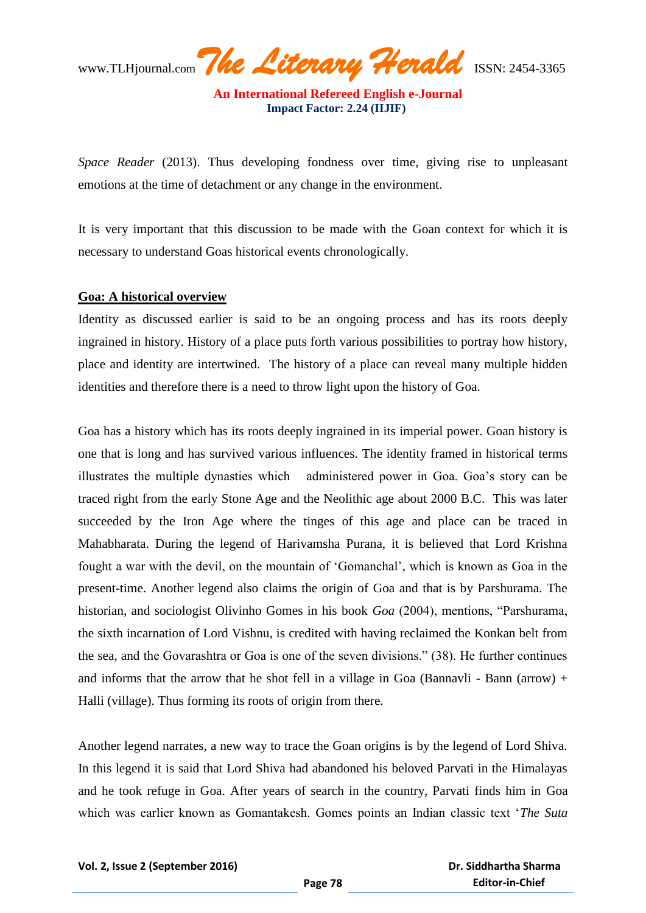**An International Refereed English e-Journal Impact Factor: 2.24 (IIJIF)** 

*Space Reader* (2013). Thus developing fondness over time, giving rise to unpleasant emotions at the time of detachment or any change in the environment.

It is very important that this discussion to be made with the Goan context for which it is necessary to understand Goas historical events chronologically.

#### **Goa: A historical overview**

Identity as discussed earlier is said to be an ongoing process and has its roots deeply ingrained in history. History of a place puts forth various possibilities to portray how history, place and identity are intertwined. The history of a place can reveal many multiple hidden identities and therefore there is a need to throw light upon the history of Goa.

Goa has a history which has its roots deeply ingrained in its imperial power. Goan history is one that is long and has survived various influences. The identity framed in historical terms illustrates the multiple dynasties which administered power in Goa. Goa"s story can be traced right from the early Stone Age and the Neolithic age about 2000 B.C. This was later succeeded by the Iron Age where the tinges of this age and place can be traced in Mahabharata. During the legend of Harivamsha Purana, it is believed that Lord Krishna fought a war with the devil, on the mountain of "Gomanchal", which is known as Goa in the present-time. Another legend also claims the origin of Goa and that is by Parshurama. The historian, and sociologist Olivinho Gomes in his book *Goa* (2004), mentions, "Parshurama, the sixth incarnation of Lord Vishnu, is credited with having reclaimed the Konkan belt from the sea, and the Govarashtra or Goa is one of the seven divisions." (38). He further continues and informs that the arrow that he shot fell in a village in Goa (Bannavli - Bann (arrow) + Halli (village). Thus forming its roots of origin from there.

Another legend narrates, a new way to trace the Goan origins is by the legend of Lord Shiva. In this legend it is said that Lord Shiva had abandoned his beloved Parvati in the Himalayas and he took refuge in Goa. After years of search in the country, Parvati finds him in Goa which was earlier known as Gomantakesh. Gomes points an Indian classic text "*The Suta*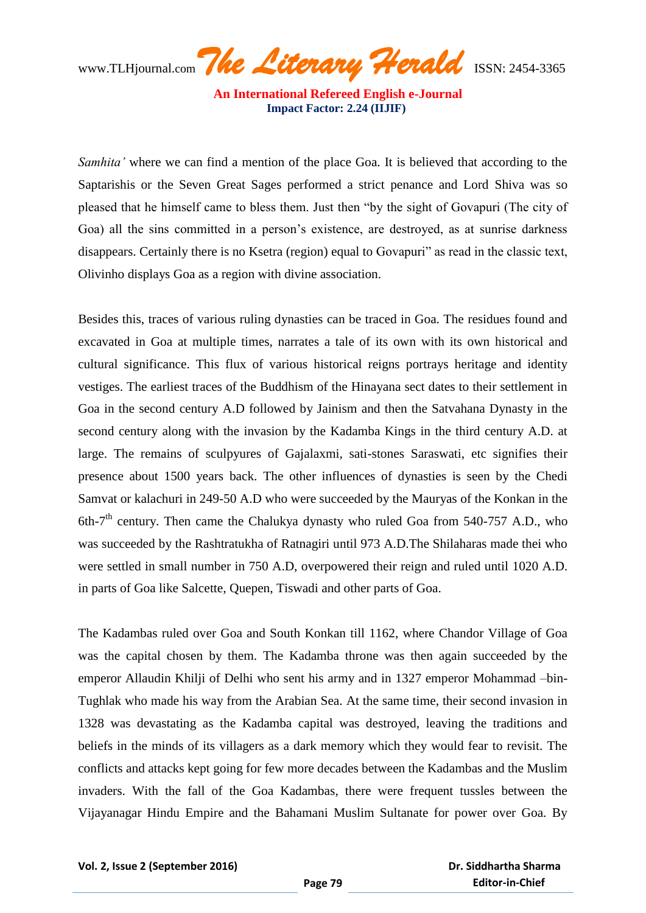**An International Refereed English e-Journal Impact Factor: 2.24 (IIJIF)** 

*Samhita'* where we can find a mention of the place Goa. It is believed that according to the Saptarishis or the Seven Great Sages performed a strict penance and Lord Shiva was so pleased that he himself came to bless them. Just then "by the sight of Govapuri (The city of Goa) all the sins committed in a person's existence, are destroyed, as at sunrise darkness disappears. Certainly there is no Ksetra (region) equal to Govapuri" as read in the classic text, Olivinho displays Goa as a region with divine association.

Besides this, traces of various ruling dynasties can be traced in Goa. The residues found and excavated in Goa at multiple times, narrates a tale of its own with its own historical and cultural significance. This flux of various historical reigns portrays heritage and identity vestiges. The earliest traces of the Buddhism of the Hinayana sect dates to their settlement in Goa in the second century A.D followed by Jainism and then the Satvahana Dynasty in the second century along with the invasion by the Kadamba Kings in the third century A.D. at large. The remains of sculpyures of Gajalaxmi, sati-stones Saraswati, etc signifies their presence about 1500 years back. The other influences of dynasties is seen by the Chedi Samvat or kalachuri in 249-50 A.D who were succeeded by the Mauryas of the Konkan in the 6th-7<sup>th</sup> century. Then came the Chalukya dynasty who ruled Goa from 540-757 A.D., who was succeeded by the Rashtratukha of Ratnagiri until 973 A.D.The Shilaharas made thei who were settled in small number in 750 A.D, overpowered their reign and ruled until 1020 A.D. in parts of Goa like Salcette, Quepen, Tiswadi and other parts of Goa.

The Kadambas ruled over Goa and South Konkan till 1162, where Chandor Village of Goa was the capital chosen by them. The Kadamba throne was then again succeeded by the emperor Allaudin Khilji of Delhi who sent his army and in 1327 emperor Mohammad –bin-Tughlak who made his way from the Arabian Sea. At the same time, their second invasion in 1328 was devastating as the Kadamba capital was destroyed, leaving the traditions and beliefs in the minds of its villagers as a dark memory which they would fear to revisit. The conflicts and attacks kept going for few more decades between the Kadambas and the Muslim invaders. With the fall of the Goa Kadambas, there were frequent tussles between the Vijayanagar Hindu Empire and the Bahamani Muslim Sultanate for power over Goa. By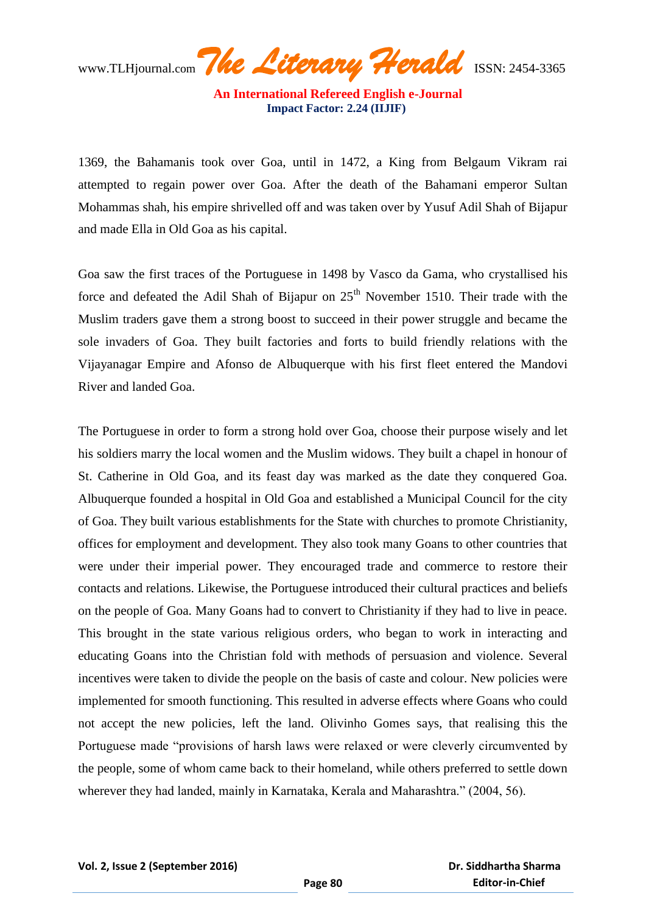**An International Refereed English e-Journal Impact Factor: 2.24 (IIJIF)** 

1369, the Bahamanis took over Goa, until in 1472, a King from Belgaum Vikram rai attempted to regain power over Goa. After the death of the Bahamani emperor Sultan Mohammas shah, his empire shrivelled off and was taken over by Yusuf Adil Shah of Bijapur and made Ella in Old Goa as his capital.

Goa saw the first traces of the Portuguese in 1498 by Vasco da Gama, who crystallised his force and defeated the Adil Shah of Bijapur on  $25<sup>th</sup>$  November 1510. Their trade with the Muslim traders gave them a strong boost to succeed in their power struggle and became the sole invaders of Goa. They built factories and forts to build friendly relations with the Vijayanagar Empire and Afonso de Albuquerque with his first fleet entered the Mandovi River and landed Goa.

The Portuguese in order to form a strong hold over Goa, choose their purpose wisely and let his soldiers marry the local women and the Muslim widows. They built a chapel in honour of St. Catherine in Old Goa, and its feast day was marked as the date they conquered Goa. Albuquerque founded a hospital in Old Goa and established a Municipal Council for the city of Goa. They built various establishments for the State with churches to promote Christianity, offices for employment and development. They also took many Goans to other countries that were under their imperial power. They encouraged trade and commerce to restore their contacts and relations. Likewise, the Portuguese introduced their cultural practices and beliefs on the people of Goa. Many Goans had to convert to Christianity if they had to live in peace. This brought in the state various religious orders, who began to work in interacting and educating Goans into the Christian fold with methods of persuasion and violence. Several incentives were taken to divide the people on the basis of caste and colour. New policies were implemented for smooth functioning. This resulted in adverse effects where Goans who could not accept the new policies, left the land. Olivinho Gomes says, that realising this the Portuguese made "provisions of harsh laws were relaxed or were cleverly circumvented by the people, some of whom came back to their homeland, while others preferred to settle down wherever they had landed, mainly in Karnataka, Kerala and Maharashtra." (2004, 56).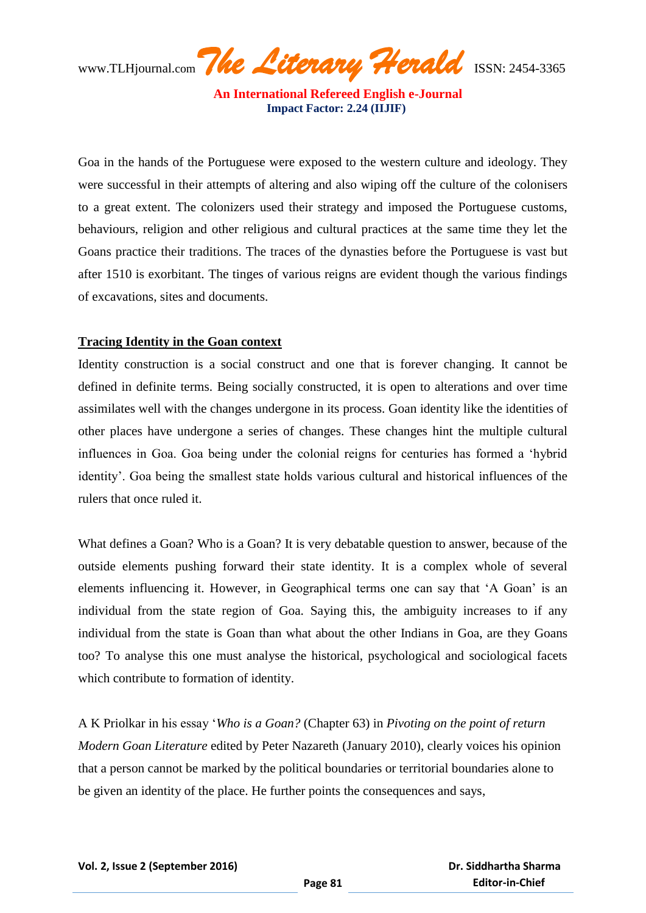**An International Refereed English e-Journal Impact Factor: 2.24 (IIJIF)** 

Goa in the hands of the Portuguese were exposed to the western culture and ideology. They were successful in their attempts of altering and also wiping off the culture of the colonisers to a great extent. The colonizers used their strategy and imposed the Portuguese customs, behaviours, religion and other religious and cultural practices at the same time they let the Goans practice their traditions. The traces of the dynasties before the Portuguese is vast but after 1510 is exorbitant. The tinges of various reigns are evident though the various findings of excavations, sites and documents.

## **Tracing Identity in the Goan context**

Identity construction is a social construct and one that is forever changing. It cannot be defined in definite terms. Being socially constructed, it is open to alterations and over time assimilates well with the changes undergone in its process. Goan identity like the identities of other places have undergone a series of changes. These changes hint the multiple cultural influences in Goa. Goa being under the colonial reigns for centuries has formed a "hybrid identity'. Goa being the smallest state holds various cultural and historical influences of the rulers that once ruled it.

What defines a Goan? Who is a Goan? It is very debatable question to answer, because of the outside elements pushing forward their state identity. It is a complex whole of several elements influencing it. However, in Geographical terms one can say that "A Goan" is an individual from the state region of Goa. Saying this, the ambiguity increases to if any individual from the state is Goan than what about the other Indians in Goa, are they Goans too? To analyse this one must analyse the historical, psychological and sociological facets which contribute to formation of identity.

A K Priolkar in his essay "*Who is a Goan?* (Chapter 63) in *Pivoting on the point of return Modern Goan Literature* edited by Peter Nazareth (January 2010), clearly voices his opinion that a person cannot be marked by the political boundaries or territorial boundaries alone to be given an identity of the place. He further points the consequences and says,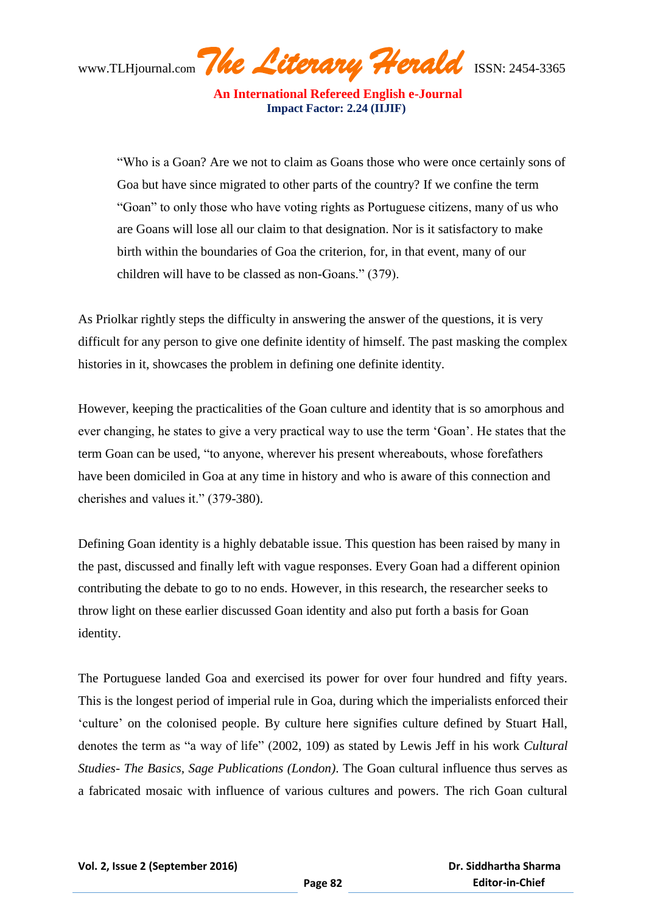**An International Refereed English e-Journal Impact Factor: 2.24 (IIJIF)** 

"Who is a Goan? Are we not to claim as Goans those who were once certainly sons of Goa but have since migrated to other parts of the country? If we confine the term "Goan" to only those who have voting rights as Portuguese citizens, many of us who are Goans will lose all our claim to that designation. Nor is it satisfactory to make birth within the boundaries of Goa the criterion, for, in that event, many of our children will have to be classed as non-Goans." (379).

As Priolkar rightly steps the difficulty in answering the answer of the questions, it is very difficult for any person to give one definite identity of himself. The past masking the complex histories in it, showcases the problem in defining one definite identity.

However, keeping the practicalities of the Goan culture and identity that is so amorphous and ever changing, he states to give a very practical way to use the term "Goan". He states that the term Goan can be used, "to anyone, wherever his present whereabouts, whose forefathers have been domiciled in Goa at any time in history and who is aware of this connection and cherishes and values it." (379-380).

Defining Goan identity is a highly debatable issue. This question has been raised by many in the past, discussed and finally left with vague responses. Every Goan had a different opinion contributing the debate to go to no ends. However, in this research, the researcher seeks to throw light on these earlier discussed Goan identity and also put forth a basis for Goan identity.

The Portuguese landed Goa and exercised its power for over four hundred and fifty years. This is the longest period of imperial rule in Goa, during which the imperialists enforced their "culture" on the colonised people. By culture here signifies culture defined by Stuart Hall, denotes the term as "a way of life" (2002, 109) as stated by Lewis Jeff in his work *Cultural Studies- The Basics, Sage Publications (London)*. The Goan cultural influence thus serves as a fabricated mosaic with influence of various cultures and powers. The rich Goan cultural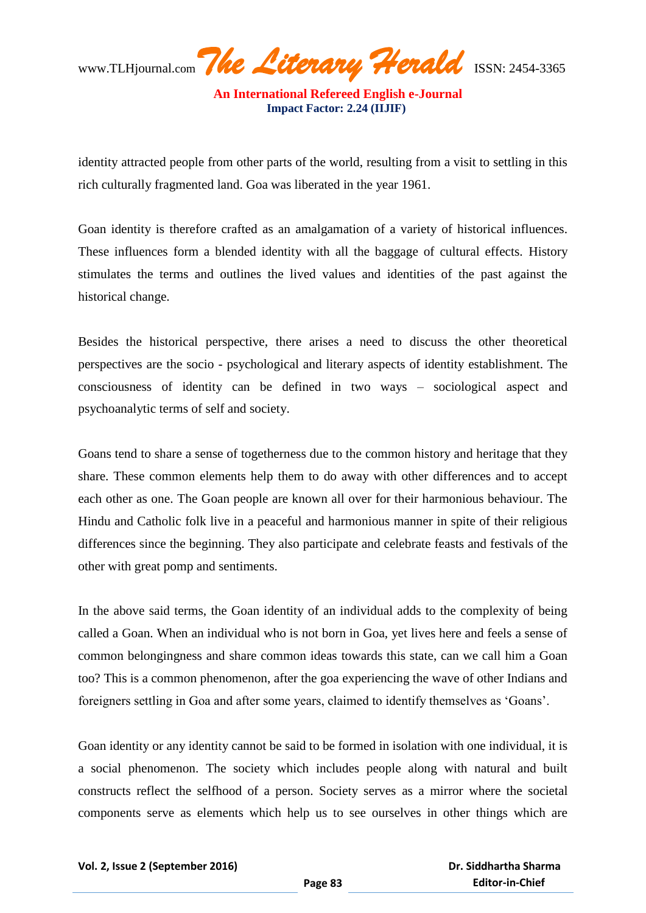**An International Refereed English e-Journal Impact Factor: 2.24 (IIJIF)** 

identity attracted people from other parts of the world, resulting from a visit to settling in this rich culturally fragmented land. Goa was liberated in the year 1961.

Goan identity is therefore crafted as an amalgamation of a variety of historical influences. These influences form a blended identity with all the baggage of cultural effects. History stimulates the terms and outlines the lived values and identities of the past against the historical change.

Besides the historical perspective, there arises a need to discuss the other theoretical perspectives are the socio - psychological and literary aspects of identity establishment. The consciousness of identity can be defined in two ways – sociological aspect and psychoanalytic terms of self and society.

Goans tend to share a sense of togetherness due to the common history and heritage that they share. These common elements help them to do away with other differences and to accept each other as one. The Goan people are known all over for their harmonious behaviour. The Hindu and Catholic folk live in a peaceful and harmonious manner in spite of their religious differences since the beginning. They also participate and celebrate feasts and festivals of the other with great pomp and sentiments.

In the above said terms, the Goan identity of an individual adds to the complexity of being called a Goan. When an individual who is not born in Goa, yet lives here and feels a sense of common belongingness and share common ideas towards this state, can we call him a Goan too? This is a common phenomenon, after the goa experiencing the wave of other Indians and foreigners settling in Goa and after some years, claimed to identify themselves as "Goans".

Goan identity or any identity cannot be said to be formed in isolation with one individual, it is a social phenomenon. The society which includes people along with natural and built constructs reflect the selfhood of a person. Society serves as a mirror where the societal components serve as elements which help us to see ourselves in other things which are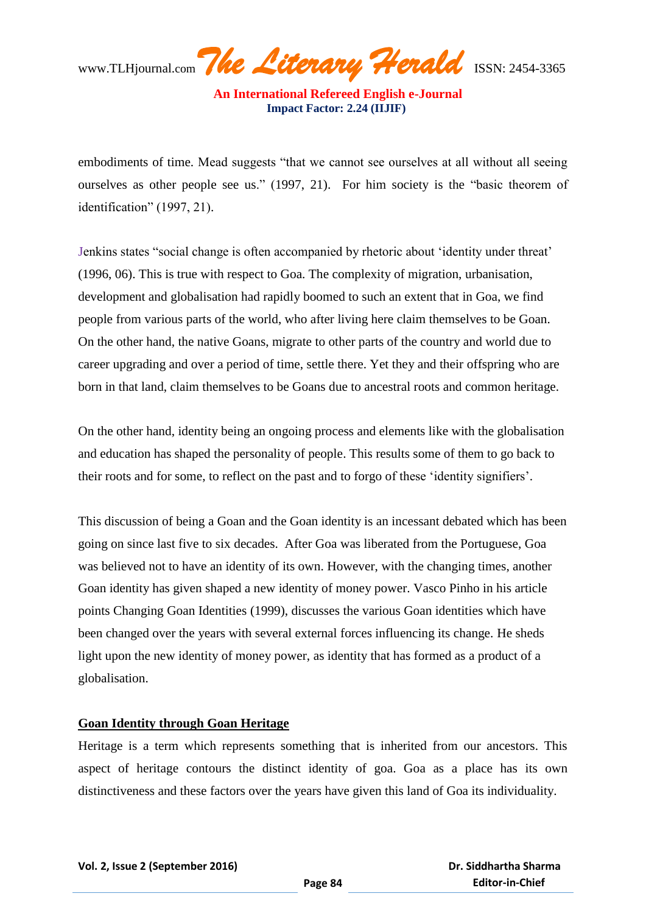**An International Refereed English e-Journal Impact Factor: 2.24 (IIJIF)** 

embodiments of time. Mead suggests "that we cannot see ourselves at all without all seeing ourselves as other people see us." (1997, 21). For him society is the "basic theorem of identification" (1997, 21).

Jenkins states "social change is often accompanied by rhetoric about "identity under threat" (1996, 06). This is true with respect to Goa. The complexity of migration, urbanisation, development and globalisation had rapidly boomed to such an extent that in Goa, we find people from various parts of the world, who after living here claim themselves to be Goan. On the other hand, the native Goans, migrate to other parts of the country and world due to career upgrading and over a period of time, settle there. Yet they and their offspring who are born in that land, claim themselves to be Goans due to ancestral roots and common heritage.

On the other hand, identity being an ongoing process and elements like with the globalisation and education has shaped the personality of people. This results some of them to go back to their roots and for some, to reflect on the past and to forgo of these "identity signifiers".

This discussion of being a Goan and the Goan identity is an incessant debated which has been going on since last five to six decades. After Goa was liberated from the Portuguese, Goa was believed not to have an identity of its own. However, with the changing times, another Goan identity has given shaped a new identity of money power. Vasco Pinho in his article points Changing Goan Identities (1999), discusses the various Goan identities which have been changed over the years with several external forces influencing its change. He sheds light upon the new identity of money power, as identity that has formed as a product of a globalisation.

## **Goan Identity through Goan Heritage**

Heritage is a term which represents something that is inherited from our ancestors. This aspect of heritage contours the distinct identity of goa. Goa as a place has its own distinctiveness and these factors over the years have given this land of Goa its individuality.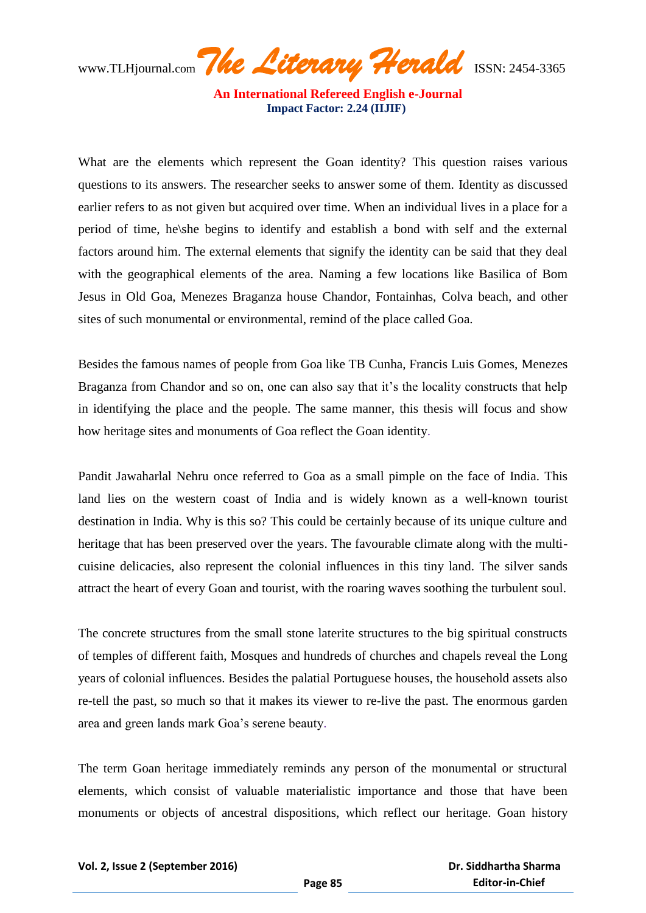**An International Refereed English e-Journal Impact Factor: 2.24 (IIJIF)** 

What are the elements which represent the Goan identity? This question raises various questions to its answers. The researcher seeks to answer some of them. Identity as discussed earlier refers to as not given but acquired over time. When an individual lives in a place for a period of time, he\she begins to identify and establish a bond with self and the external factors around him. The external elements that signify the identity can be said that they deal with the geographical elements of the area. Naming a few locations like Basilica of Bom Jesus in Old Goa, Menezes Braganza house Chandor, Fontainhas, Colva beach, and other sites of such monumental or environmental, remind of the place called Goa.

Besides the famous names of people from Goa like TB Cunha, Francis Luis Gomes, Menezes Braganza from Chandor and so on, one can also say that it's the locality constructs that help in identifying the place and the people. The same manner, this thesis will focus and show how heritage sites and monuments of Goa reflect the Goan identity.

Pandit Jawaharlal Nehru once referred to Goa as a small pimple on the face of India. This land lies on the western coast of India and is widely known as a well-known tourist destination in India. Why is this so? This could be certainly because of its unique culture and heritage that has been preserved over the years. The favourable climate along with the multicuisine delicacies, also represent the colonial influences in this tiny land. The silver sands attract the heart of every Goan and tourist, with the roaring waves soothing the turbulent soul.

The concrete structures from the small stone laterite structures to the big spiritual constructs of temples of different faith, Mosques and hundreds of churches and chapels reveal the Long years of colonial influences. Besides the palatial Portuguese houses, the household assets also re-tell the past, so much so that it makes its viewer to re-live the past. The enormous garden area and green lands mark Goa"s serene beauty.

The term Goan heritage immediately reminds any person of the monumental or structural elements, which consist of valuable materialistic importance and those that have been monuments or objects of ancestral dispositions, which reflect our heritage. Goan history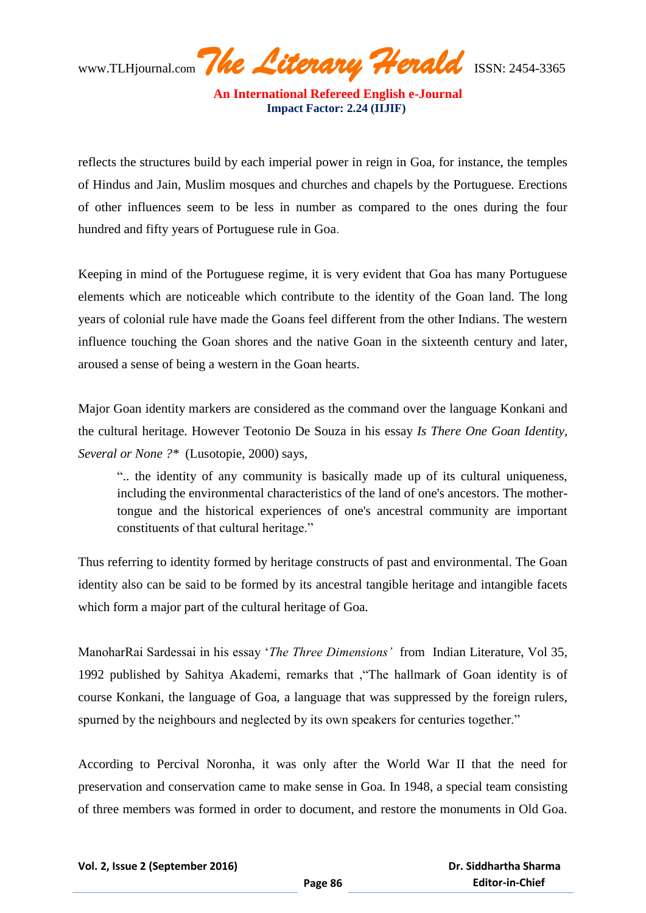**An International Refereed English e-Journal Impact Factor: 2.24 (IIJIF)** 

reflects the structures build by each imperial power in reign in Goa, for instance, the temples of Hindus and Jain, Muslim mosques and churches and chapels by the Portuguese. Erections of other influences seem to be less in number as compared to the ones during the four hundred and fifty years of Portuguese rule in Goa.

Keeping in mind of the Portuguese regime, it is very evident that Goa has many Portuguese elements which are noticeable which contribute to the identity of the Goan land. The long years of colonial rule have made the Goans feel different from the other Indians. The western influence touching the Goan shores and the native Goan in the sixteenth century and later, aroused a sense of being a western in the Goan hearts.

Major Goan identity markers are considered as the command over the language Konkani and the cultural heritage. However Teotonio De Souza in his essay *Is There One Goan Identity, Several or None ?\** (Lusotopie, 2000) says,

".. the identity of any community is basically made up of its cultural uniqueness, including the environmental characteristics of the land of one's ancestors. The mothertongue and the historical experiences of one's ancestral community are important constituents of that cultural heritage."

Thus referring to identity formed by heritage constructs of past and environmental. The Goan identity also can be said to be formed by its ancestral tangible heritage and intangible facets which form a major part of the cultural heritage of Goa.

ManoharRai Sardessai in his essay "*The Three Dimensions'* from Indian Literature, Vol 35, 1992 published by Sahitya Akademi, remarks that ,"The hallmark of Goan identity is of course Konkani, the language of Goa, a language that was suppressed by the foreign rulers, spurned by the neighbours and neglected by its own speakers for centuries together."

According to Percival Noronha, it was only after the World War II that the need for preservation and conservation came to make sense in Goa. In 1948, a special team consisting of three members was formed in order to document, and restore the monuments in Old Goa.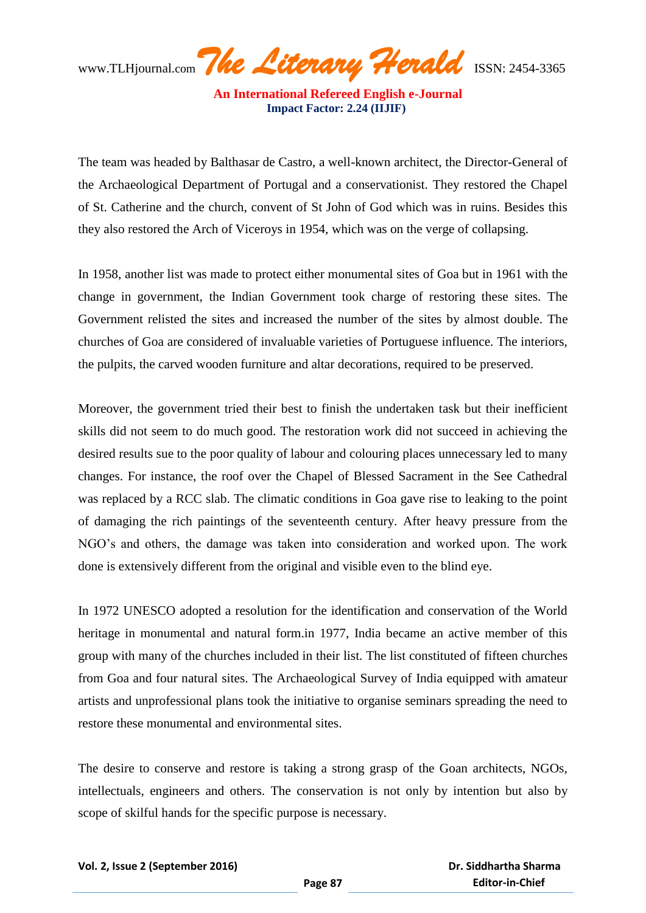**An International Refereed English e-Journal Impact Factor: 2.24 (IIJIF)** 

The team was headed by Balthasar de Castro, a well-known architect, the Director-General of the Archaeological Department of Portugal and a conservationist. They restored the Chapel of St. Catherine and the church, convent of St John of God which was in ruins. Besides this they also restored the Arch of Viceroys in 1954, which was on the verge of collapsing.

In 1958, another list was made to protect either monumental sites of Goa but in 1961 with the change in government, the Indian Government took charge of restoring these sites. The Government relisted the sites and increased the number of the sites by almost double. The churches of Goa are considered of invaluable varieties of Portuguese influence. The interiors, the pulpits, the carved wooden furniture and altar decorations, required to be preserved.

Moreover, the government tried their best to finish the undertaken task but their inefficient skills did not seem to do much good. The restoration work did not succeed in achieving the desired results sue to the poor quality of labour and colouring places unnecessary led to many changes. For instance, the roof over the Chapel of Blessed Sacrament in the See Cathedral was replaced by a RCC slab. The climatic conditions in Goa gave rise to leaking to the point of damaging the rich paintings of the seventeenth century. After heavy pressure from the NGO"s and others, the damage was taken into consideration and worked upon. The work done is extensively different from the original and visible even to the blind eye.

In 1972 UNESCO adopted a resolution for the identification and conservation of the World heritage in monumental and natural form.in 1977, India became an active member of this group with many of the churches included in their list. The list constituted of fifteen churches from Goa and four natural sites. The Archaeological Survey of India equipped with amateur artists and unprofessional plans took the initiative to organise seminars spreading the need to restore these monumental and environmental sites.

The desire to conserve and restore is taking a strong grasp of the Goan architects, NGOs, intellectuals, engineers and others. The conservation is not only by intention but also by scope of skilful hands for the specific purpose is necessary.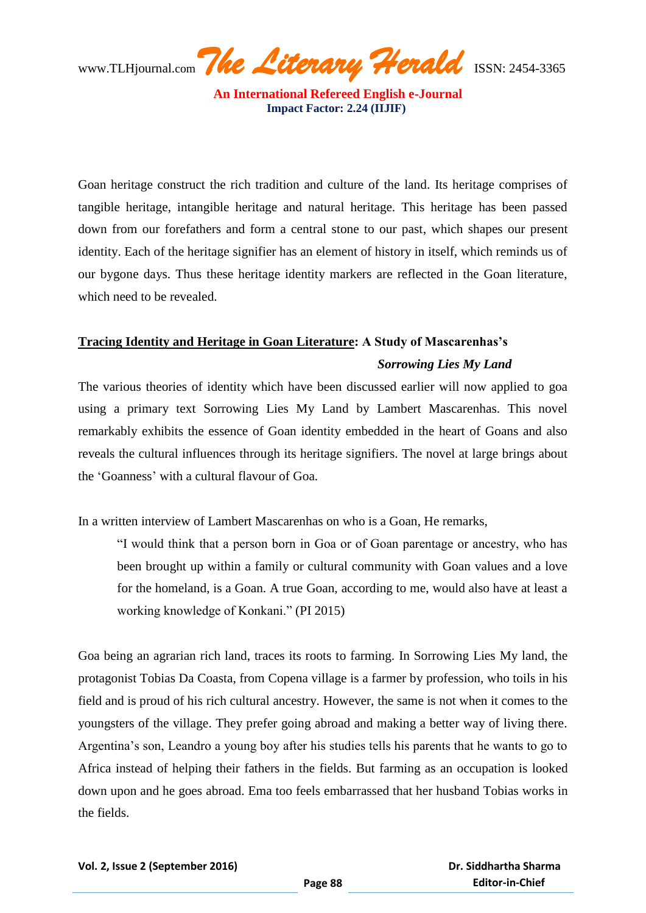**An International Refereed English e-Journal Impact Factor: 2.24 (IIJIF)** 

Goan heritage construct the rich tradition and culture of the land. Its heritage comprises of tangible heritage, intangible heritage and natural heritage. This heritage has been passed down from our forefathers and form a central stone to our past, which shapes our present identity. Each of the heritage signifier has an element of history in itself, which reminds us of our bygone days. Thus these heritage identity markers are reflected in the Goan literature, which need to be revealed.

# **Tracing Identity and Heritage in Goan Literature: A Study of Mascarenhas's** *Sorrowing Lies My Land*

The various theories of identity which have been discussed earlier will now applied to goa using a primary text Sorrowing Lies My Land by Lambert Mascarenhas. This novel remarkably exhibits the essence of Goan identity embedded in the heart of Goans and also reveals the cultural influences through its heritage signifiers. The novel at large brings about the "Goanness" with a cultural flavour of Goa.

In a written interview of Lambert Mascarenhas on who is a Goan, He remarks,

"I would think that a person born in Goa or of Goan parentage or ancestry, who has been brought up within a family or cultural community with Goan values and a love for the homeland, is a Goan. A true Goan, according to me, would also have at least a working knowledge of Konkani." (PI 2015)

Goa being an agrarian rich land, traces its roots to farming. In Sorrowing Lies My land, the protagonist Tobias Da Coasta, from Copena village is a farmer by profession, who toils in his field and is proud of his rich cultural ancestry. However, the same is not when it comes to the youngsters of the village. They prefer going abroad and making a better way of living there. Argentina"s son, Leandro a young boy after his studies tells his parents that he wants to go to Africa instead of helping their fathers in the fields. But farming as an occupation is looked down upon and he goes abroad. Ema too feels embarrassed that her husband Tobias works in the fields.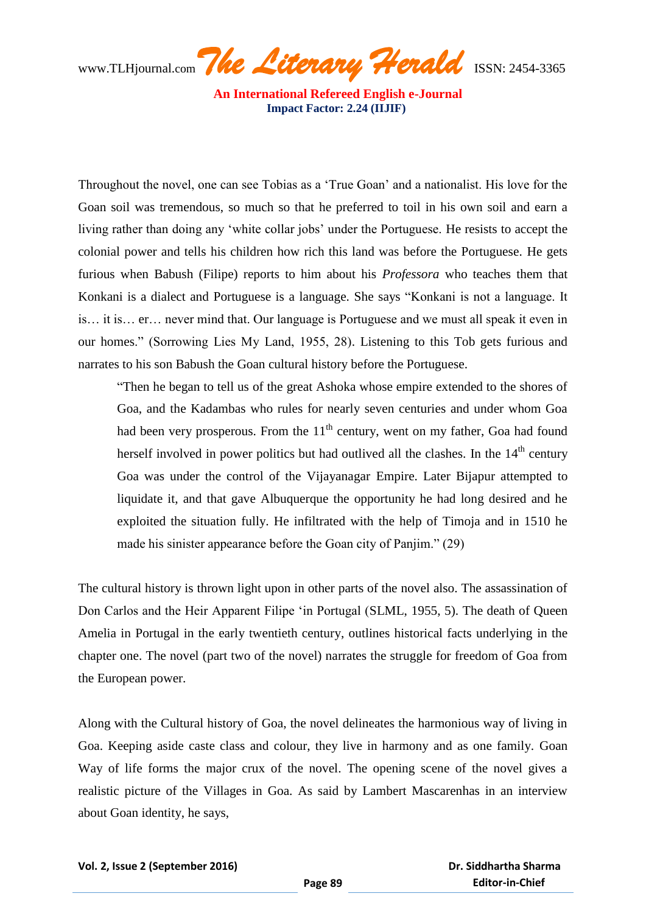www.TLHjournal.com*The Literary Herald*ISSN: 2454-3365

Throughout the novel, one can see Tobias as a "True Goan" and a nationalist. His love for the Goan soil was tremendous, so much so that he preferred to toil in his own soil and earn a living rather than doing any 'white collar jobs' under the Portuguese. He resists to accept the colonial power and tells his children how rich this land was before the Portuguese. He gets furious when Babush (Filipe) reports to him about his *Professora* who teaches them that Konkani is a dialect and Portuguese is a language. She says "Konkani is not a language. It is… it is… er… never mind that. Our language is Portuguese and we must all speak it even in our homes." (Sorrowing Lies My Land, 1955, 28). Listening to this Tob gets furious and narrates to his son Babush the Goan cultural history before the Portuguese.

"Then he began to tell us of the great Ashoka whose empire extended to the shores of Goa, and the Kadambas who rules for nearly seven centuries and under whom Goa had been very prosperous. From the  $11<sup>th</sup>$  century, went on my father, Goa had found herself involved in power politics but had outlived all the clashes. In the  $14<sup>th</sup>$  century Goa was under the control of the Vijayanagar Empire. Later Bijapur attempted to liquidate it, and that gave Albuquerque the opportunity he had long desired and he exploited the situation fully. He infiltrated with the help of Timoja and in 1510 he made his sinister appearance before the Goan city of Panjim." (29)

The cultural history is thrown light upon in other parts of the novel also. The assassination of Don Carlos and the Heir Apparent Filipe "in Portugal (SLML, 1955, 5). The death of Queen Amelia in Portugal in the early twentieth century, outlines historical facts underlying in the chapter one. The novel (part two of the novel) narrates the struggle for freedom of Goa from the European power.

Along with the Cultural history of Goa, the novel delineates the harmonious way of living in Goa. Keeping aside caste class and colour, they live in harmony and as one family. Goan Way of life forms the major crux of the novel. The opening scene of the novel gives a realistic picture of the Villages in Goa. As said by Lambert Mascarenhas in an interview about Goan identity, he says,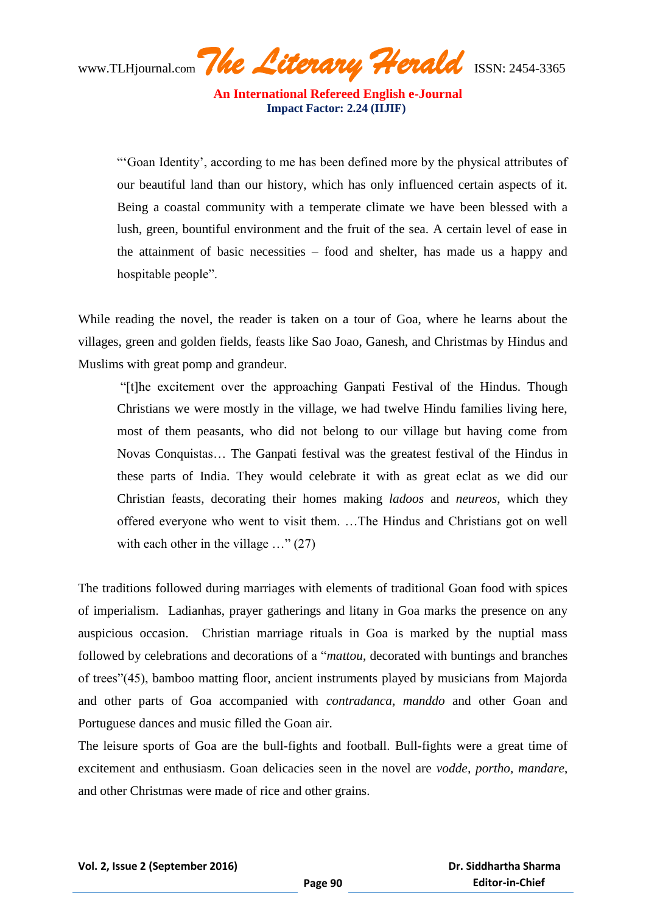**An International Refereed English e-Journal Impact Factor: 2.24 (IIJIF)** 

""Goan Identity", according to me has been defined more by the physical attributes of our beautiful land than our history, which has only influenced certain aspects of it. Being a coastal community with a temperate climate we have been blessed with a lush, green, bountiful environment and the fruit of the sea. A certain level of ease in the attainment of basic necessities – food and shelter, has made us a happy and hospitable people".

While reading the novel, the reader is taken on a tour of Goa, where he learns about the villages, green and golden fields, feasts like Sao Joao, Ganesh, and Christmas by Hindus and Muslims with great pomp and grandeur.

"[t]he excitement over the approaching Ganpati Festival of the Hindus. Though Christians we were mostly in the village, we had twelve Hindu families living here, most of them peasants, who did not belong to our village but having come from Novas Conquistas… The Ganpati festival was the greatest festival of the Hindus in these parts of India. They would celebrate it with as great eclat as we did our Christian feasts, decorating their homes making *ladoos* and *neureos*, which they offered everyone who went to visit them. …The Hindus and Christians got on well with each other in the village ..." (27)

The traditions followed during marriages with elements of traditional Goan food with spices of imperialism. Ladianhas, prayer gatherings and litany in Goa marks the presence on any auspicious occasion. Christian marriage rituals in Goa is marked by the nuptial mass followed by celebrations and decorations of a "*mattou*, decorated with buntings and branches of trees"(45), bamboo matting floor, ancient instruments played by musicians from Majorda and other parts of Goa accompanied with *contradanca*, *manddo* and other Goan and Portuguese dances and music filled the Goan air.

The leisure sports of Goa are the bull-fights and football. Bull-fights were a great time of excitement and enthusiasm. Goan delicacies seen in the novel are *vodde, portho, mandare*, and other Christmas were made of rice and other grains.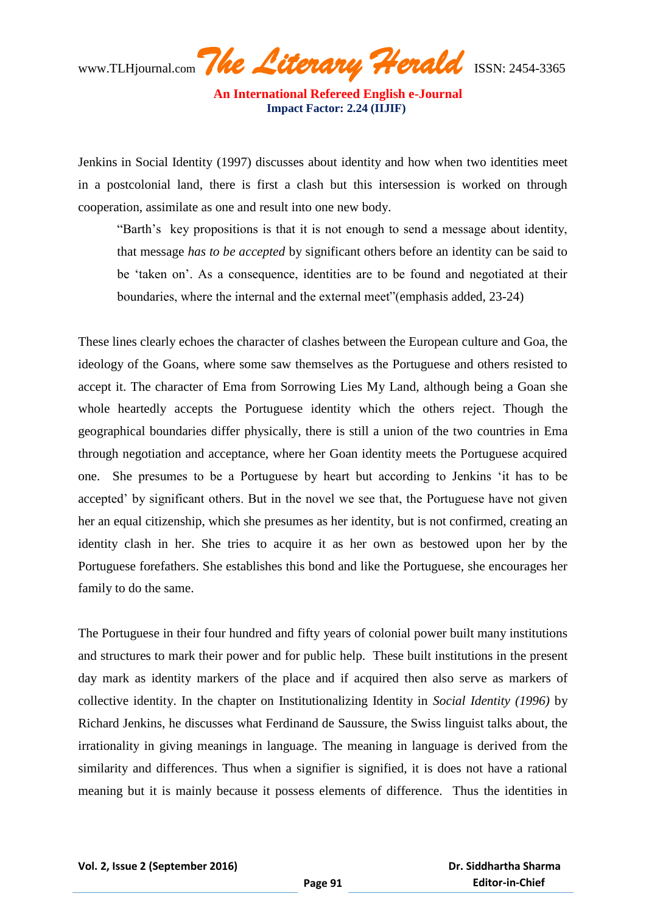**An International Refereed English e-Journal Impact Factor: 2.24 (IIJIF)** 

Jenkins in Social Identity (1997) discusses about identity and how when two identities meet in a postcolonial land, there is first a clash but this intersession is worked on through cooperation, assimilate as one and result into one new body.

"Barth's key propositions is that it is not enough to send a message about identity, that message *has to be accepted* by significant others before an identity can be said to be "taken on". As a consequence, identities are to be found and negotiated at their boundaries, where the internal and the external meet"(emphasis added, 23-24)

These lines clearly echoes the character of clashes between the European culture and Goa, the ideology of the Goans, where some saw themselves as the Portuguese and others resisted to accept it. The character of Ema from Sorrowing Lies My Land, although being a Goan she whole heartedly accepts the Portuguese identity which the others reject. Though the geographical boundaries differ physically, there is still a union of the two countries in Ema through negotiation and acceptance, where her Goan identity meets the Portuguese acquired one. She presumes to be a Portuguese by heart but according to Jenkins "it has to be accepted' by significant others. But in the novel we see that, the Portuguese have not given her an equal citizenship, which she presumes as her identity, but is not confirmed, creating an identity clash in her. She tries to acquire it as her own as bestowed upon her by the Portuguese forefathers. She establishes this bond and like the Portuguese, she encourages her family to do the same.

The Portuguese in their four hundred and fifty years of colonial power built many institutions and structures to mark their power and for public help. These built institutions in the present day mark as identity markers of the place and if acquired then also serve as markers of collective identity. In the chapter on Institutionalizing Identity in *Social Identity (1996)* by Richard Jenkins, he discusses what Ferdinand de Saussure, the Swiss linguist talks about, the irrationality in giving meanings in language. The meaning in language is derived from the similarity and differences. Thus when a signifier is signified, it is does not have a rational meaning but it is mainly because it possess elements of difference. Thus the identities in

 **Dr. Siddhartha Sharma Editor-in-Chief**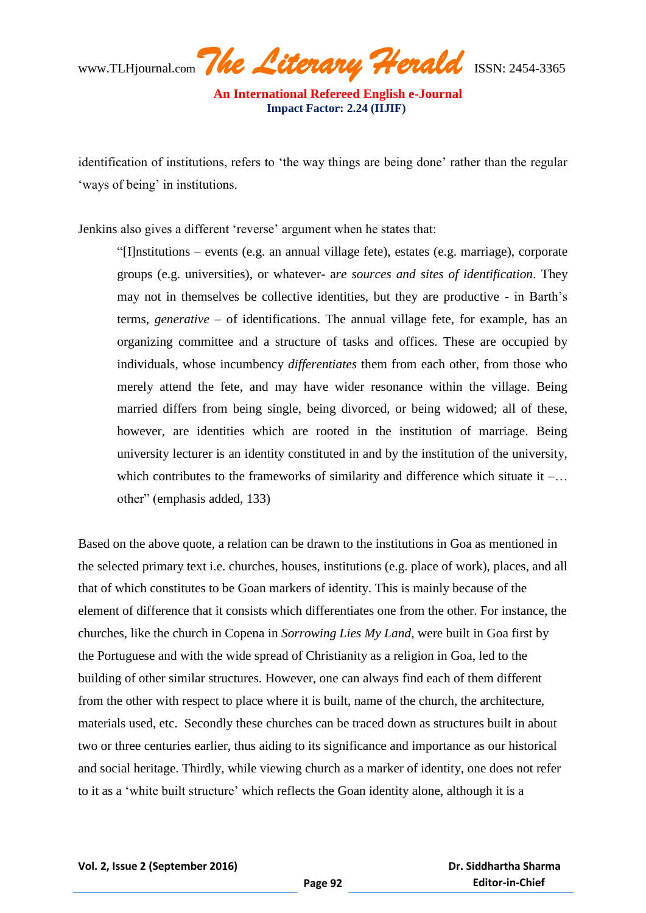www.TLHjournal.com*The Literary Herald*ISSN: 2454-3365

identification of institutions, refers to 'the way things are being done' rather than the regular "ways of being" in institutions.

Jenkins also gives a different 'reverse' argument when he states that:

"[I]nstitutions – events (e.g. an annual village fete), estates (e.g. marriage), corporate groups (e.g. universities), or whatever- a*re sources and sites of identification*. They may not in themselves be collective identities, but they are productive - in Barth"s terms, *generative –* of identifications. The annual village fete, for example, has an organizing committee and a structure of tasks and offices. These are occupied by individuals, whose incumbency *differentiates* them from each other, from those who merely attend the fete, and may have wider resonance within the village. Being married differs from being single, being divorced, or being widowed; all of these, however, are identities which are rooted in the institution of marriage. Being university lecturer is an identity constituted in and by the institution of the university, which contributes to the frameworks of similarity and difference which situate it  $-\dots$ other" (emphasis added, 133)

Based on the above quote, a relation can be drawn to the institutions in Goa as mentioned in the selected primary text i.e. churches, houses, institutions (e.g. place of work), places, and all that of which constitutes to be Goan markers of identity. This is mainly because of the element of difference that it consists which differentiates one from the other. For instance, the churches, like the church in Copena in *Sorrowing Lies My Land*, were built in Goa first by the Portuguese and with the wide spread of Christianity as a religion in Goa, led to the building of other similar structures. However, one can always find each of them different from the other with respect to place where it is built, name of the church, the architecture, materials used, etc. Secondly these churches can be traced down as structures built in about two or three centuries earlier, thus aiding to its significance and importance as our historical and social heritage. Thirdly, while viewing church as a marker of identity, one does not refer to it as a "white built structure" which reflects the Goan identity alone, although it is a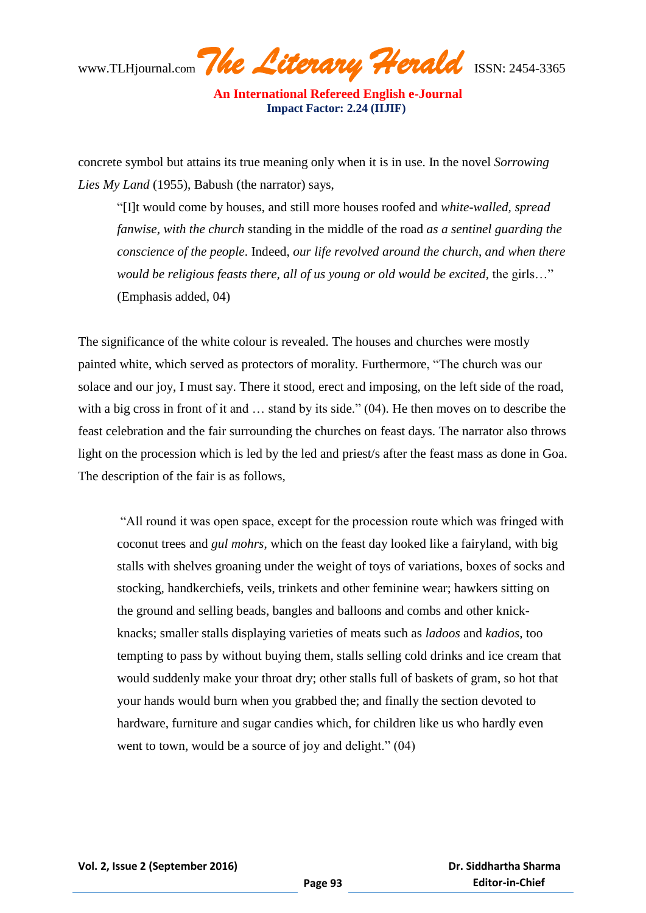**An International Refereed English e-Journal Impact Factor: 2.24 (IIJIF)** 

concrete symbol but attains its true meaning only when it is in use. In the novel *Sorrowing Lies My Land* (1955), Babush (the narrator) says,

"[I]t would come by houses, and still more houses roofed and *white-walled, spread fanwise, with the church* standing in the middle of the road *as a sentinel guarding the conscience of the people*. Indeed, *our life revolved around the church*, *and when there would be religious feasts there, all of us young or old would be excited, the girls...*" (Emphasis added, 04)

The significance of the white colour is revealed. The houses and churches were mostly painted white, which served as protectors of morality. Furthermore, "The church was our solace and our joy, I must say. There it stood, erect and imposing, on the left side of the road, with a big cross in front of it and ... stand by its side." (04). He then moves on to describe the feast celebration and the fair surrounding the churches on feast days. The narrator also throws light on the procession which is led by the led and priest/s after the feast mass as done in Goa. The description of the fair is as follows,

"All round it was open space, except for the procession route which was fringed with coconut trees and *gul mohrs*, which on the feast day looked like a fairyland, with big stalls with shelves groaning under the weight of toys of variations, boxes of socks and stocking, handkerchiefs, veils, trinkets and other feminine wear; hawkers sitting on the ground and selling beads, bangles and balloons and combs and other knickknacks; smaller stalls displaying varieties of meats such as *ladoos* and *kadios*, too tempting to pass by without buying them, stalls selling cold drinks and ice cream that would suddenly make your throat dry; other stalls full of baskets of gram, so hot that your hands would burn when you grabbed the; and finally the section devoted to hardware, furniture and sugar candies which, for children like us who hardly even went to town, would be a source of joy and delight." (04)

 **Dr. Siddhartha Sharma Editor-in-Chief**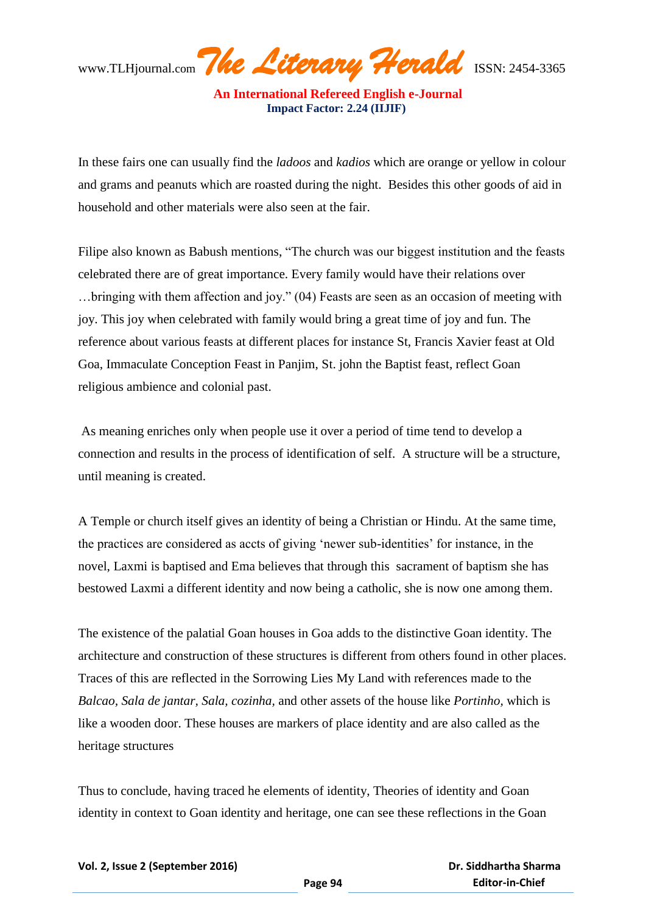In these fairs one can usually find the *ladoos* and *kadios* which are orange or yellow in colour and grams and peanuts which are roasted during the night. Besides this other goods of aid in household and other materials were also seen at the fair.

Filipe also known as Babush mentions, "The church was our biggest institution and the feasts celebrated there are of great importance. Every family would have their relations over …bringing with them affection and joy." (04) Feasts are seen as an occasion of meeting with joy. This joy when celebrated with family would bring a great time of joy and fun. The reference about various feasts at different places for instance St, Francis Xavier feast at Old Goa, Immaculate Conception Feast in Panjim, St. john the Baptist feast, reflect Goan religious ambience and colonial past.

As meaning enriches only when people use it over a period of time tend to develop a connection and results in the process of identification of self. A structure will be a structure, until meaning is created.

A Temple or church itself gives an identity of being a Christian or Hindu. At the same time, the practices are considered as accts of giving "newer sub-identities" for instance, in the novel, Laxmi is baptised and Ema believes that through this sacrament of baptism she has bestowed Laxmi a different identity and now being a catholic, she is now one among them.

The existence of the palatial Goan houses in Goa adds to the distinctive Goan identity. The architecture and construction of these structures is different from others found in other places. Traces of this are reflected in the Sorrowing Lies My Land with references made to the *Balcao, Sala de jantar, Sala, cozinha,* and other assets of the house like *Portinho,* which is like a wooden door. These houses are markers of place identity and are also called as the heritage structures

Thus to conclude, having traced he elements of identity, Theories of identity and Goan identity in context to Goan identity and heritage, one can see these reflections in the Goan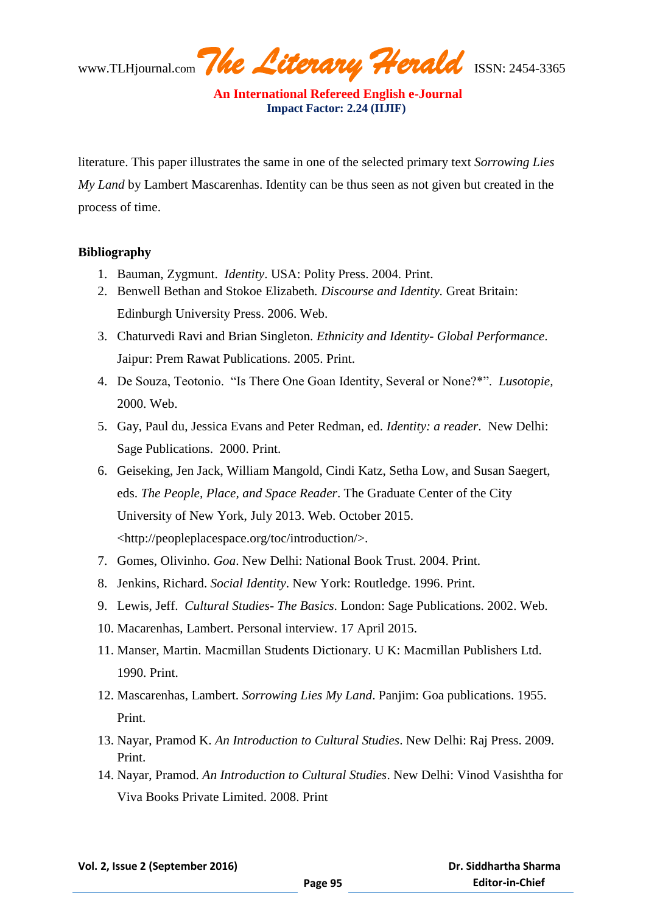literature. This paper illustrates the same in one of the selected primary text *Sorrowing Lies My Land* by Lambert Mascarenhas. Identity can be thus seen as not given but created in the process of time.

## **Bibliography**

- 1. Bauman, Zygmunt. *Identity*. USA: Polity Press. 2004. Print.
- 2. Benwell Bethan and Stokoe Elizabeth*. Discourse and Identity.* Great Britain: Edinburgh University Press. 2006. Web.
- 3. Chaturvedi Ravi and Brian Singleton. *Ethnicity and Identity- Global Performance*. Jaipur: Prem Rawat Publications. 2005. Print.
- 4. De Souza, Teotonio. "Is There One Goan Identity, Several or None?\*". *Lusotopie,* 2000. Web.
- 5. Gay, Paul du, Jessica Evans and Peter Redman, ed. *Identity: a reader*. New Delhi: Sage Publications. 2000. Print.
- 6. Geiseking, Jen Jack, William Mangold, Cindi Katz, Setha Low, and Susan Saegert, eds. *The People, Place, and Space Reader*. The Graduate Center of the City University of New York, July 2013. Web. October 2015. <http://peopleplacespace.org/toc/introduction/>.
- 7. Gomes, Olivinho. *Goa*. New Delhi: National Book Trust. 2004. Print.
- 8. Jenkins, Richard. *Social Identity*. New York: Routledge. 1996. Print.
- 9. Lewis, Jeff. *Cultural Studies- The Basics*. London: Sage Publications. 2002. Web.
- 10. Macarenhas, Lambert. Personal interview. 17 April 2015.
- 11. Manser, Martin. Macmillan Students Dictionary. U K: Macmillan Publishers Ltd. 1990. Print.
- 12. Mascarenhas, Lambert. *Sorrowing Lies My Land*. Panjim: Goa publications. 1955. Print.
- 13. Nayar, Pramod K. *An Introduction to Cultural Studies*. New Delhi: Raj Press. 2009. Print.
- 14. Nayar, Pramod. *An Introduction to Cultural Studies*. New Delhi: Vinod Vasishtha for Viva Books Private Limited. 2008. Print